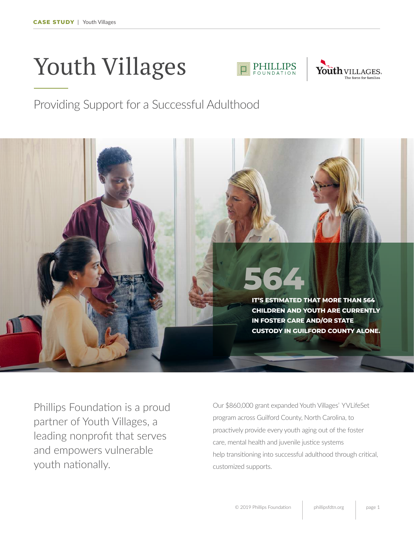# Youth Villages





## Providing Support for a Successful Adulthood



Phillips Foundation is a proud partner of Youth Villages, a leading nonprofit that serves and empowers vulnerable youth nationally.

Our \$860,000 grant expanded Youth Villages' YVLifeSet program across Guilford County, North Carolina, to proactively provide every youth aging out of the foster care, mental health and juvenile justice systems help transitioning into successful adulthood through critical, customized supports.